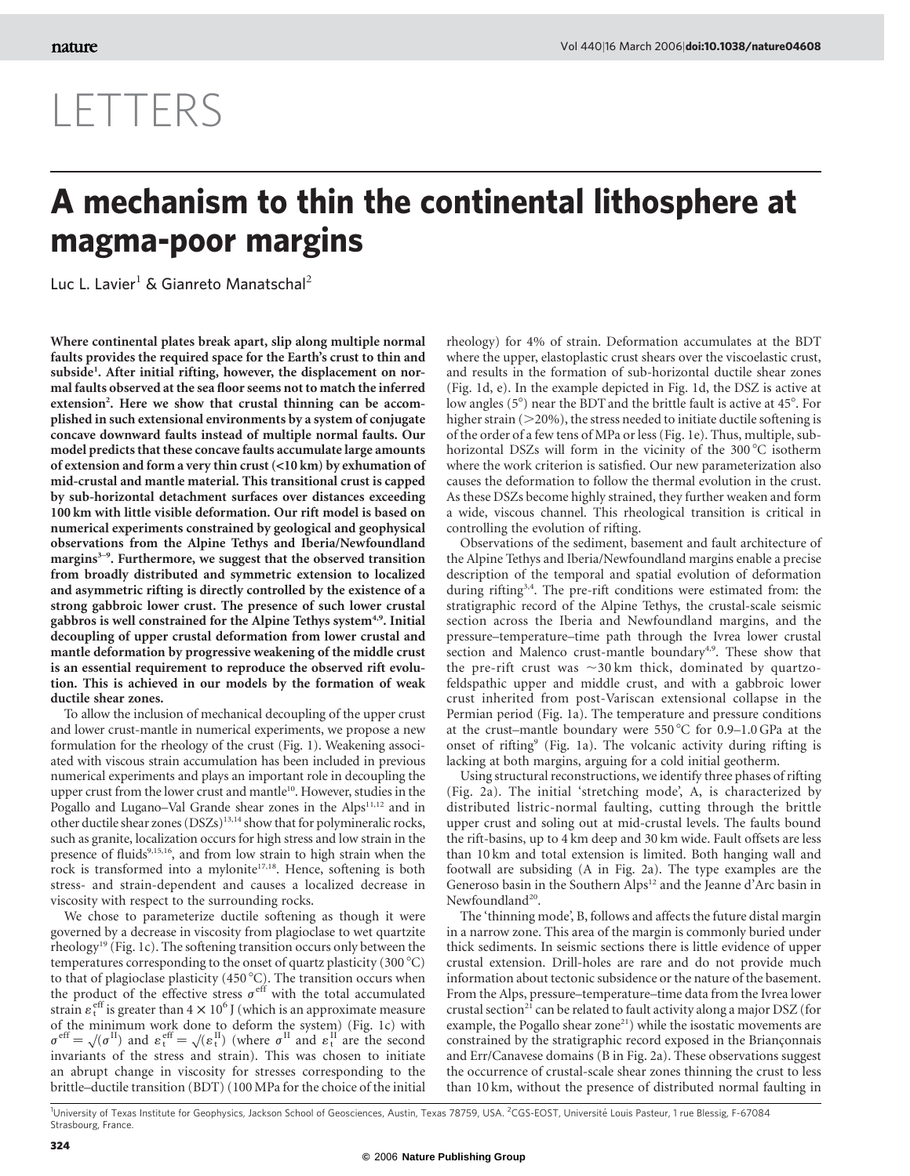## LETTERS

## A mechanism to thin the continental lithosphere at magma-poor margins

Luc L. Lavier<sup>1</sup> & Gianreto Manatschal<sup>2</sup>

Where continental plates break apart, slip along multiple normal faults provides the required space for the Earth's crust to thin and subside<sup>1</sup>. After initial rifting, however, the displacement on normal faults observed at the sea floor seems not to match the inferred extension<sup>2</sup>. Here we show that crustal thinning can be accomplished in such extensional environments by a system of conjugate concave downward faults instead of multiple normal faults. Our model predicts that these concave faults accumulate large amounts of extension and form a very thin crust (*<*10 km) by exhumation of mid-crustal and mantle material. This transitional crust is capped by sub-horizontal detachment surfaces over distances exceeding 100 km with little visible deformation. Our rift model is based on numerical experiments constrained by geological and geophysical observations from the Alpine Tethys and Iberia/Newfoundland margins<sup>3-9</sup>. Furthermore, we suggest that the observed transition from broadly distributed and symmetric extension to localized and asymmetric rifting is directly controlled by the existence of a strong gabbroic lower crust. The presence of such lower crustal gabbros is well constrained for the Alpine Tethys system<sup>4,9</sup>. Initial decoupling of upper crustal deformation from lower crustal and mantle deformation by progressive weakening of the middle crust is an essential requirement to reproduce the observed rift evolution. This is achieved in our models by the formation of weak ductile shear zones.

To allow the inclusion of mechanical decoupling of the upper crust and lower crust-mantle in numerical experiments, we propose a new formulation for the rheology of the crust (Fig. 1). Weakening associated with viscous strain accumulation has been included in previous numerical experiments and plays an important role in decoupling the upper crust from the lower crust and mantle<sup>10</sup>. However, studies in the Pogallo and Lugano–Val Grande shear zones in the Alps<sup>11,12</sup> and in other ductile shear zones (DSZs)13,14 show that for polymineralic rocks, such as granite, localization occurs for high stress and low strain in the presence of fluids<sup>9,15,16</sup>, and from low strain to high strain when the rock is transformed into a mylonite<sup>17,18</sup>. Hence, softening is both stress- and strain-dependent and causes a localized decrease in viscosity with respect to the surrounding rocks.

We chose to parameterize ductile softening as though it were governed by a decrease in viscosity from plagioclase to wet quartzite rheology<sup>19</sup> (Fig. 1c). The softening transition occurs only between the temperatures corresponding to the onset of quartz plasticity  $(300 °C)$ to that of plagioclase plasticity  $(450\,^{\circ}\text{C})$ . The transition occurs when the product of the effective stress  $\sigma^{\text{eff}}$  with the total accumulated strain  $\varepsilon_t^{\text{eff}}$  is greater than  $4 \times 10^6$  J (which is an approximate measure of the minimum work done to deform the system) (Fig. 1c) with or the minimum work done to deform the system) (Fig. 1c) with  $\sigma^{\text{eff}} = \sqrt{(\sigma^{\text{II}})}$  and  $\varepsilon^{\text{eff}}_t = \sqrt{(\varepsilon^{\text{II}}_t)}$  (where  $\sigma^{\text{II}}$  and  $\varepsilon^{\text{II}}_t$  are the second invariants of the stress and strain). This was chosen to initiate an abrupt change in viscosity for stresses corresponding to the brittle–ductile transition (BDT) (100 MPa for the choice of the initial

rheology) for 4% of strain. Deformation accumulates at the BDT where the upper, elastoplastic crust shears over the viscoelastic crust, and results in the formation of sub-horizontal ductile shear zones (Fig. 1d, e). In the example depicted in Fig. 1d, the DSZ is active at low angles  $(5^\circ)$  near the BDT and the brittle fault is active at  $45^\circ$ . For higher strain  $(>=20\%)$ , the stress needed to initiate ductile softening is of the order of a few tens of MPa or less (Fig. 1e). Thus, multiple, subhorizontal DSZs will form in the vicinity of the 300 °C isotherm where the work criterion is satisfied. Our new parameterization also causes the deformation to follow the thermal evolution in the crust. As these DSZs become highly strained, they further weaken and form a wide, viscous channel. This rheological transition is critical in controlling the evolution of rifting.

Observations of the sediment, basement and fault architecture of the Alpine Tethys and Iberia/Newfoundland margins enable a precise description of the temporal and spatial evolution of deformation during rifting<sup>3,4</sup>. The pre-rift conditions were estimated from: the stratigraphic record of the Alpine Tethys, the crustal-scale seismic section across the Iberia and Newfoundland margins, and the pressure–temperature–time path through the Ivrea lower crustal section and Malenco crust-mantle boundary<sup>4,9</sup>. These show that the pre-rift crust was  $\sim$ 30 km thick, dominated by quartzofeldspathic upper and middle crust, and with a gabbroic lower crust inherited from post-Variscan extensional collapse in the Permian period (Fig. 1a). The temperature and pressure conditions at the crust–mantle boundary were  $550^{\circ}$ C for 0.9–1.0 GPa at the onset of rifting<sup>9</sup> (Fig. 1a). The volcanic activity during rifting is lacking at both margins, arguing for a cold initial geotherm.

Using structural reconstructions, we identify three phases of rifting (Fig. 2a). The initial 'stretching mode', A, is characterized by distributed listric-normal faulting, cutting through the brittle upper crust and soling out at mid-crustal levels. The faults bound the rift-basins, up to 4 km deep and 30 km wide. Fault offsets are less than 10 km and total extension is limited. Both hanging wall and footwall are subsiding (A in Fig. 2a). The type examples are the Generoso basin in the Southern Alps<sup>12</sup> and the Jeanne d'Arc basin in Newfoundland<sup>20</sup>.

The 'thinning mode', B, follows and affects the future distal margin in a narrow zone. This area of the margin is commonly buried under thick sediments. In seismic sections there is little evidence of upper crustal extension. Drill-holes are rare and do not provide much information about tectonic subsidence or the nature of the basement. From the Alps, pressure–temperature–time data from the Ivrea lower crustal section<sup>21</sup> can be related to fault activity along a major DSZ (for example, the Pogallo shear zone<sup>21</sup>) while the isostatic movements are constrained by the stratigraphic record exposed in the Briançonnais and Err/Canavese domains (B in Fig. 2a). These observations suggest the occurrence of crustal-scale shear zones thinning the crust to less than 10 km, without the presence of distributed normal faulting in

<sup>1</sup>University of Texas Institute for Geophysics, Jackson School of Geosciences, Austin, Texas 78759, USA. <sup>2</sup>CGS-EOST, Université Louis Pasteur, 1 rue Blessig, F-67084 Strasbourg, France.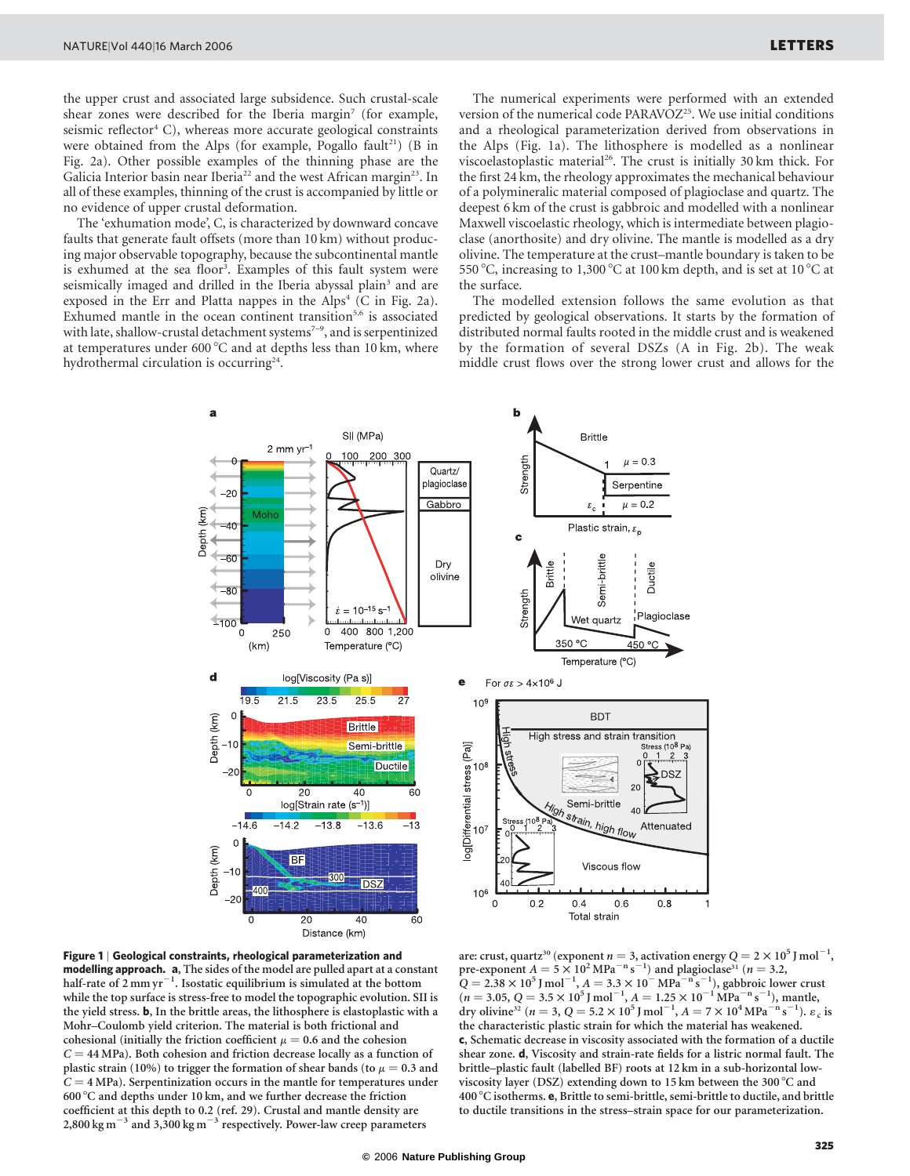the upper crust and associated large subsidence. Such crustal-scale shear zones were described for the Iberia margin<sup>7</sup> (for example, seismic reflector $4$  C), whereas more accurate geological constraints were obtained from the Alps (for example, Pogallo fault<sup>21</sup>) (B in Fig. 2a). Other possible examples of the thinning phase are the Galicia Interior basin near Iberia<sup>22</sup> and the west African margin<sup>23</sup>. In all of these examples, thinning of the crust is accompanied by little or no evidence of upper crustal deformation.

The 'exhumation mode', C, is characterized by downward concave faults that generate fault offsets (more than 10 km) without producing major observable topography, because the subcontinental mantle is exhumed at the sea floor<sup>3</sup>. Examples of this fault system were seismically imaged and drilled in the Iberia abyssal plain<sup>3</sup> and are exposed in the Err and Platta nappes in the Alps<sup>4</sup> (C in Fig. 2a). Exhumed mantle in the ocean continent transition $5,6$  is associated with late, shallow-crustal detachment systems<sup>7-9</sup>, and is serpentinized at temperatures under  $600^{\circ}$ C and at depths less than 10 km, where hydrothermal circulation is occurring $24$ .

The numerical experiments were performed with an extended version of the numerical code PARAVOZ<sup>25</sup>. We use initial conditions and a rheological parameterization derived from observations in the Alps (Fig. 1a). The lithosphere is modelled as a nonlinear viscoelastoplastic material<sup>26</sup>. The crust is initially 30 km thick. For the first 24 km, the rheology approximates the mechanical behaviour of a polymineralic material composed of plagioclase and quartz. The deepest 6 km of the crust is gabbroic and modelled with a nonlinear Maxwell viscoelastic rheology, which is intermediate between plagioclase (anorthosite) and dry olivine. The mantle is modelled as a dry olivine. The temperature at the crust–mantle boundary is taken to be 550 °C, increasing to 1,300 °C at 100 km depth, and is set at 10 °C at the surface.

The modelled extension follows the same evolution as that predicted by geological observations. It starts by the formation of distributed normal faults rooted in the middle crust and is weakened by the formation of several DSZs (A in Fig. 2b). The weak middle crust flows over the strong lower crust and allows for the



Figure 1 | Geological constraints, rheological parameterization and modelling approach. a, The sides of the model are pulled apart at a constant half-rate of  $2$  mm yr<sup>-1</sup>. Isostatic equilibrium is simulated at the bottom while the top surface is stress-free to model the topographic evolution. SII is the yield stress. b, In the brittle areas, the lithosphere is elastoplastic with a Mohr–Coulomb yield criterion. The material is both frictional and cohesional (initially the friction coefficient  $\mu = 0.6$  and the cohesion  $C = 44 \text{ MPa}$ ). Both cohesion and friction decrease locally as a function of plastic strain (10%) to trigger the formation of shear bands (to  $\mu = 0.3$  and  $C = 4 MPa$ ). Serpentinization occurs in the mantle for temperatures under 600 °C and depths under 10 km, and we further decrease the friction coefficient at this depth to 0.2 (ref. 29). Crustal and mantle density are 2,800 kg m<sup> $^{-3}$ </sup> and 3,300 kg m<sup> $^{-3}$ </sup> respectively. Power-law creep parameters

are: crust, quartz $^{30}$  (exponent  $n=3$ , activation energy  $Q = 2 \times 10^5$  J mol $^{-1}$ , pre-exponent  $A = 5 \times 10^2$  MPa<sup>-n</sup> s<sup>-1</sup>) and plagioclase<sup>31</sup> (n = 3.2,  $Q = 2.38 \times 10^5$  J mol<sup>-1</sup>,  $A = 3.3 \times 10^{-1}$  MPa<sup>-n</sup> s<sup>-1</sup>), gabbroic lower crust  $(n = 3.05, Q = 3.5 \times 10^5 \text{ J mol}^{-1}, A = 1.25 \times 10^{-1} \text{ MPa}^{-n} \text{ s}^{-1})$ , mantle, dry olivine<sup>32</sup> (*n* = 3, Q = 5.2 × 10<sup>5</sup> J mol<sup>-1</sup>, A = 7 × 10<sup>4</sup> MPa<sup>-n</sup> s<sup>-1</sup>).  $\varepsilon_c$  is the characteristic plastic strain for which the material has weakened. c, Schematic decrease in viscosity associated with the formation of a ductile shear zone. d, Viscosity and strain-rate fields for a listric normal fault. The brittle–plastic fault (labelled BF) roots at 12 km in a sub-horizontal lowviscosity layer (DSZ) extending down to 15 km between the 300 $^{\circ}$ C and 400 °C isotherms. e, Brittle to semi-brittle, semi-brittle to ductile, and brittle to ductile transitions in the stress–strain space for our parameterization.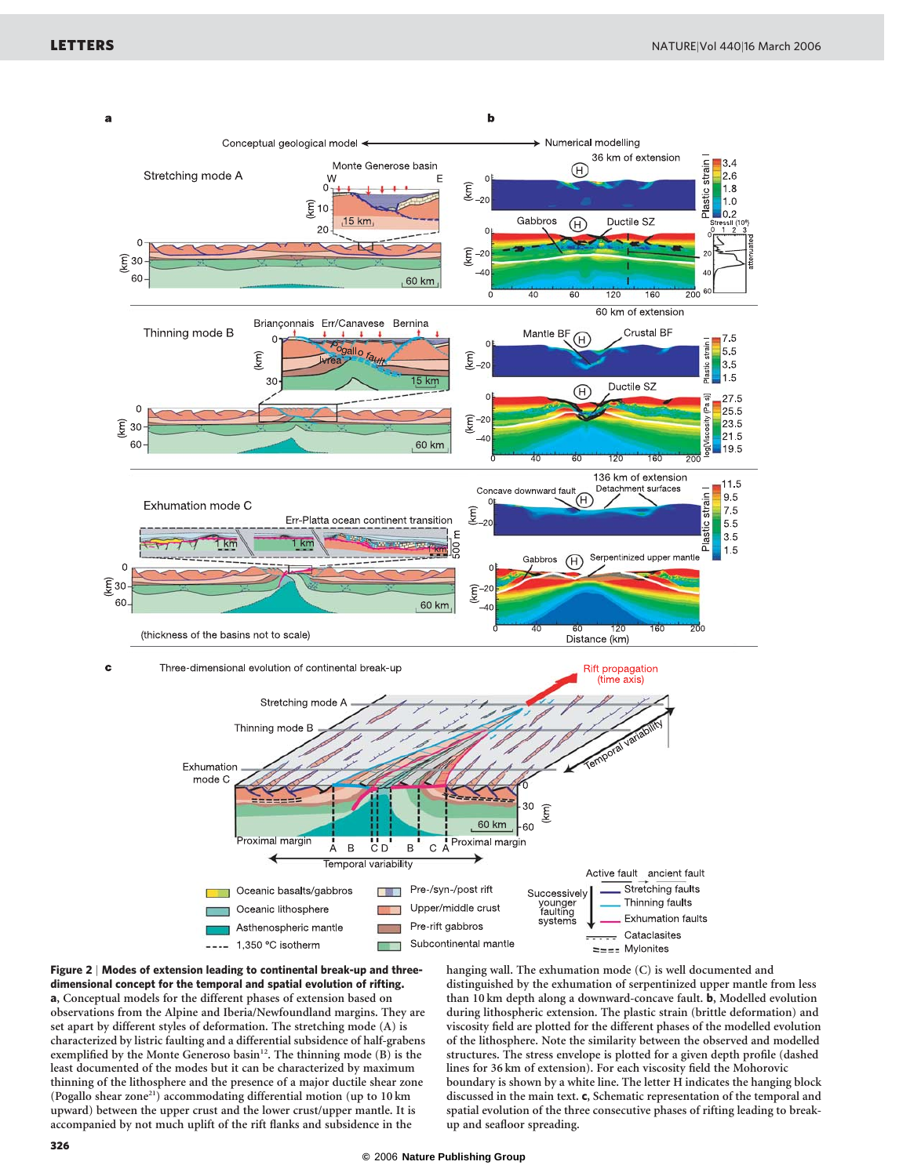



hanging wall. The exhumation mode (C) is well documented and distinguished by the exhumation of serpentinized upper mantle from less than 10 km depth along a downward-concave fault. b, Modelled evolution during lithospheric extension. The plastic strain (brittle deformation) and viscosity field are plotted for the different phases of the modelled evolution of the lithosphere. Note the similarity between the observed and modelled structures. The stress envelope is plotted for a given depth profile (dashed lines for 36 km of extension). For each viscosity field the Mohorovic boundary is shown by a white line. The letter H indicates the hanging block discussed in the main text. c, Schematic representation of the temporal and spatial evolution of the three consecutive phases of rifting leading to breakup and seafloor spreading.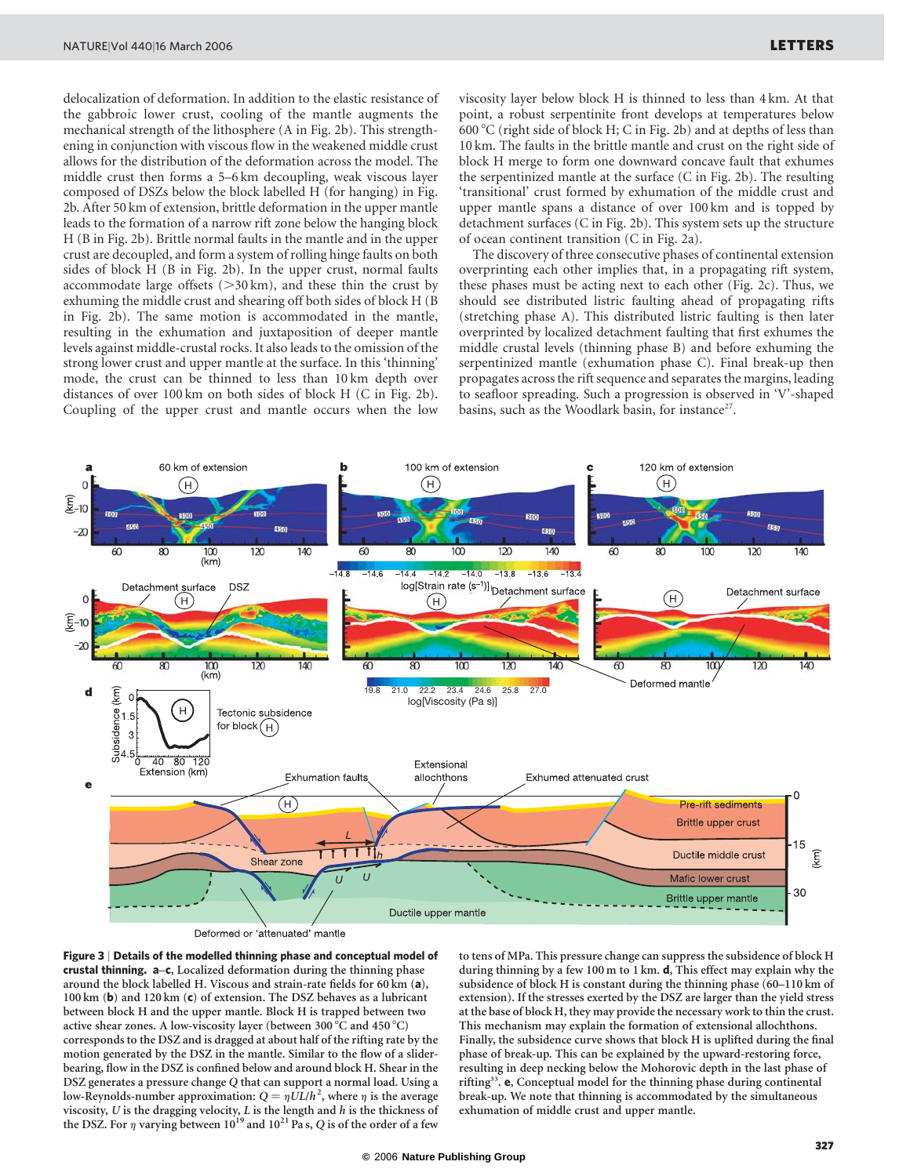delocalization of deformation. In addition to the elastic resistance of the gabbroic lower crust, cooling of the mantle augments the mechanical strength of the lithosphere (A in Fig. 2b). This strengthening in conjunction with viscous flow in the weakened middle crust allows for the distribution of the deformation across the model. The middle crust then forms a 5–6 km decoupling, weak viscous layer composed of DSZs below the block labelled H (for hanging) in Fig. 2b. After 50 km of extension, brittle deformation in the upper mantle leads to the formation of a narrow rift zone below the hanging block H (B in Fig. 2b). Brittle normal faults in the mantle and in the upper crust are decoupled, and form a system of rolling hinge faults on both sides of block H (B in Fig. 2b). In the upper crust, normal faults accommodate large offsets  $(>30 \text{ km})$ , and these thin the crust by exhuming the middle crust and shearing off both sides of block H (B in Fig. 2b). The same motion is accommodated in the mantle, resulting in the exhumation and juxtaposition of deeper mantle levels against middle-crustal rocks. It also leads to the omission of the strong lower crust and upper mantle at the surface. In this 'thinning' mode, the crust can be thinned to less than 10 km depth over distances of over 100 km on both sides of block H (C in Fig. 2b). Coupling of the upper crust and mantle occurs when the low

viscosity layer below block H is thinned to less than 4 km. At that point, a robust serpentinite front develops at temperatures below 600 8C (right side of block H; C in Fig. 2b) and at depths of less than 10 km. The faults in the brittle mantle and crust on the right side of block H merge to form one downward concave fault that exhumes the serpentinized mantle at the surface (C in Fig. 2b). The resulting 'transitional' crust formed by exhumation of the middle crust and upper mantle spans a distance of over 100 km and is topped by detachment surfaces (C in Fig. 2b). This system sets up the structure of ocean continent transition (C in Fig. 2a).

The discovery of three consecutive phases of continental extension overprinting each other implies that, in a propagating rift system, these phases must be acting next to each other (Fig. 2c). Thus, we should see distributed listric faulting ahead of propagating rifts (stretching phase A). This distributed listric faulting is then later overprinted by localized detachment faulting that first exhumes the middle crustal levels (thinning phase B) and before exhuming the serpentinized mantle (exhumation phase C). Final break-up then propagates across the rift sequence and separates the margins, leading to seafloor spreading. Such a progression is observed in 'V'-shaped basins, such as the Woodlark basin, for instance<sup>27</sup>.



Deformed or 'attenuated' mantle



to tens of MPa. This pressure change can suppress the subsidence of block H during thinning by a few 100 m to 1 km. d, This effect may explain why the subsidence of block H is constant during the thinning phase (60–110 km of extension). If the stresses exerted by the DSZ are larger than the yield stress at the base of block H, they may provide the necessary work to thin the crust. This mechanism may explain the formation of extensional allochthons. Finally, the subsidence curve shows that block H is uplifted during the final phase of break-up. This can be explained by the upward-restoring force, resulting in deep necking below the Mohorovic depth in the last phase of rifting<sup>33</sup>. e, Conceptual model for the thinning phase during continental break-up. We note that thinning is accommodated by the simultaneous exhumation of middle crust and upper mantle.